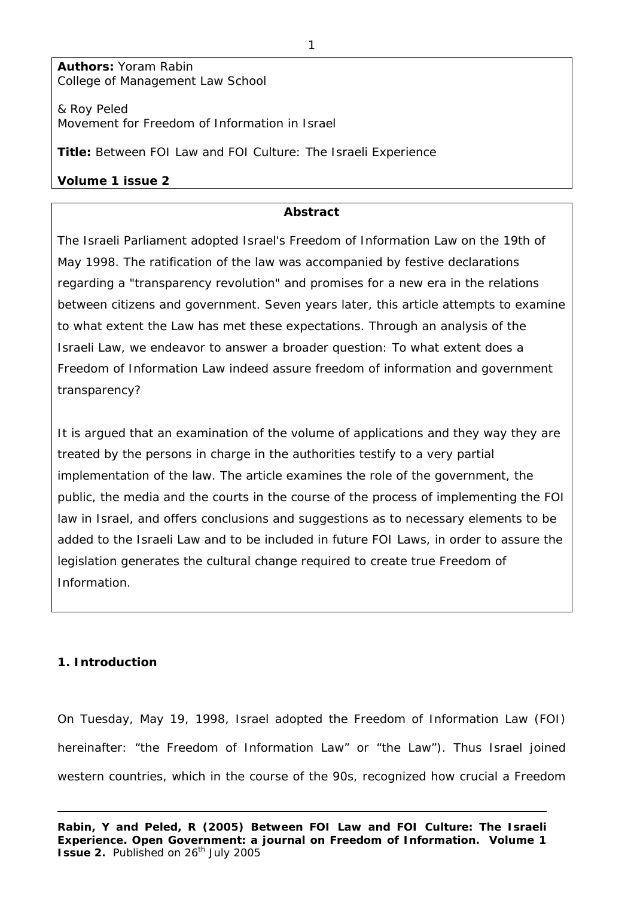**Authors:** Yoram Rabin College of Management Law School

& Roy Peled Movement for Freedom of Information in Israel

**Title:** Between FOI Law and FOI Culture: The Israeli Experience

# **Volume 1 issue 2**

## **Abstract**

The Israeli Parliament adopted Israel's Freedom of Information Law on the 19th of May 1998. The ratification of the law was accompanied by festive declarations regarding a "transparency revolution" and promises for a new era in the relations between citizens and government. Seven years later, this article attempts to examine to what extent the Law has met these expectations. Through an analysis of the Israeli Law, we endeavor to answer a broader question: To what extent does a Freedom of Information Law indeed assure freedom of information and government transparency?

It is argued that an examination of the volume of applications and they way they are treated by the persons in charge in the authorities testify to a very partial implementation of the law. The article examines the role of the government, the public, the media and the courts in the course of the process of implementing the FOI law in Israel, and offers conclusions and suggestions as to necessary elements to be added to the Israeli Law and to be included in future FOI Laws, in order to assure the legislation generates the cultural change required to create true Freedom of Information.

# **1. Introduction**

On Tuesday, May 19, 1998, Israel adopted the Freedom of Information Law (FOI) hereinafter: "the Freedom of Information Law" or "the Law"). Thus Israel joined western countries, which in the course of the 90s, recognized how crucial a Freedom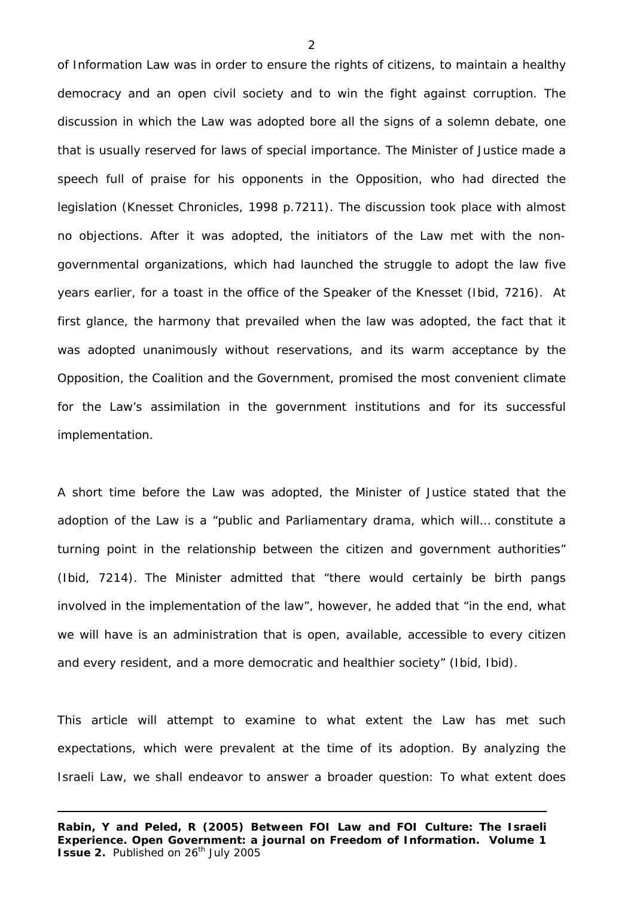of Information Law was in order to ensure the rights of citizens, to maintain a healthy democracy and an open civil society and to win the fight against corruption. The discussion in which the Law was adopted bore all the signs of a solemn debate, one that is usually reserved for laws of special importance. The Minister of Justice made a speech full of praise for his opponents in the Opposition, who had directed the legislation (Knesset Chronicles, 1998 p.7211). The discussion took place with almost no objections. After it was adopted, the initiators of the Law met with the nongovernmental organizations, which had launched the struggle to adopt the law five years earlier, for a toast in the office of the Speaker of the Knesset (*Ibid,* 7216). At first glance, the harmony that prevailed when the law was adopted, the fact that it was adopted unanimously without reservations, and its warm acceptance by the Opposition, the Coalition and the Government, promised the most convenient climate for the Law's assimilation in the government institutions and for its successful implementation.

A short time before the Law was adopted, the Minister of Justice stated that the adoption of the Law is a "public and Parliamentary drama, which will… constitute a turning point in the relationship between the citizen and government authorities" (*Ibid*, 7214). The Minister admitted that "there would certainly be birth pangs involved in the implementation of the law", however, he added that "in the end, what we will have is an administration that is open, available, accessible to every citizen and every resident, and a more democratic and healthier society" (*Ibid, Ibid*).

This article will attempt to examine to what extent the Law has met such expectations, which were prevalent at the time of its adoption. By analyzing the Israeli Law, we shall endeavor to answer a broader question: To what extent does

 $\mathfrak{D}$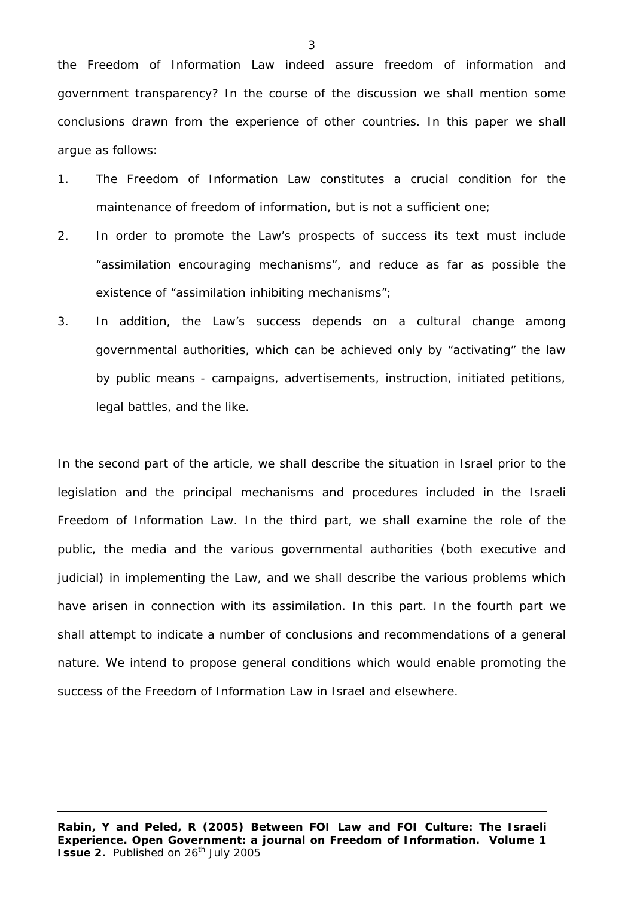the Freedom of Information Law indeed assure freedom of information and government transparency? In the course of the discussion we shall mention some conclusions drawn from the experience of other countries. In this paper we shall argue as follows:

- 1. The Freedom of Information Law constitutes a crucial condition for the maintenance of freedom of information, but is not a sufficient one;
- 2. In order to promote the Law's prospects of success its text must include "assimilation encouraging mechanisms", and reduce as far as possible the existence of "assimilation inhibiting mechanisms";
- 3. In addition, the Law's success depends on a cultural change among governmental authorities, which can be achieved only by "activating" the law by public means - campaigns, advertisements, instruction, initiated petitions, legal battles, and the like.

In the second part of the article, we shall describe the situation in Israel prior to the legislation and the principal mechanisms and procedures included in the Israeli Freedom of Information Law. In the third part, we shall examine the role of the public, the media and the various governmental authorities (both executive and judicial) in implementing the Law, and we shall describe the various problems which have arisen in connection with its assimilation. In this part. In the fourth part we shall attempt to indicate a number of conclusions and recommendations of a general nature. We intend to propose general conditions which would enable promoting the success of the Freedom of Information Law in Israel and elsewhere.

**Rabin, Y and Peled, R (2005) Between FOI Law and FOI Culture: The Israeli Experience. Open Government: a journal on Freedom of Information. Volume 1 Issue 2.** Published on 26<sup>th</sup> July 2005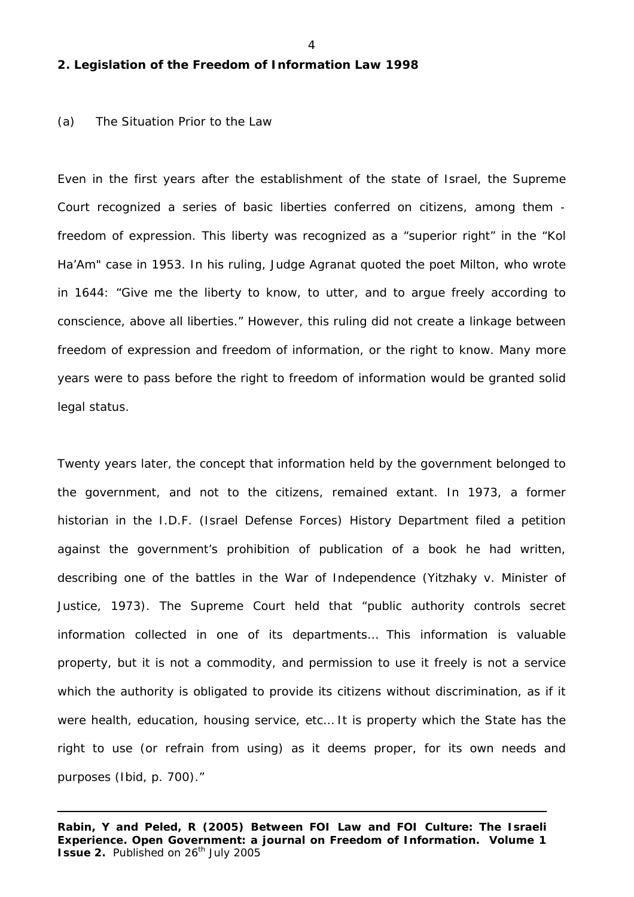#### 4

#### **2. Legislation of the Freedom of Information Law 1998**

#### (a) The Situation Prior to the Law

Even in the first years after the establishment of the state of Israel, the Supreme Court recognized a series of basic liberties conferred on citizens, among them freedom of expression. This liberty was recognized as a "superior right" in the "Kol Ha'Am" case in 1953. In his ruling, Judge Agranat quoted the poet Milton, who wrote in 1644: "Give me the liberty to know, to utter, and to argue freely according to conscience, above all liberties." However, this ruling did not create a linkage between freedom of expression and freedom of information, or the right to know. Many more years were to pass before the right to freedom of information would be granted solid legal status.

Twenty years later, the concept that information held by the government belonged to the government, and not to the citizens, remained extant. In 1973, a former historian in the I.D.F. (Israel Defense Forces) History Department filed a petition against the government's prohibition of publication of a book he had written, describing one of the battles in the War of Independence (Yitzhaky v. Minister of Justice, 1973). The Supreme Court held that "public authority controls secret information collected in one of its departments… This information is valuable property, but it is not a commodity, and permission to use it freely is not a service which the authority is obligated to provide its citizens without discrimination, as if it were health, education, housing service, etc… It is property which the State has the right to use (or refrain from using) as it deems proper, for its own needs and purposes (*Ibid,* p. 700)."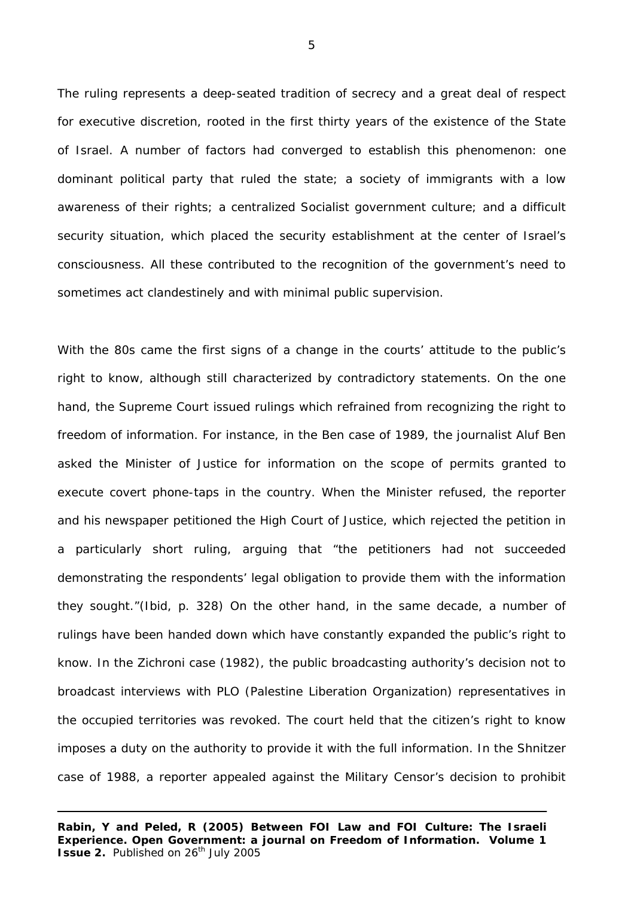The ruling represents a deep-seated tradition of secrecy and a great deal of respect for executive discretion, rooted in the first thirty years of the existence of the State of Israel. A number of factors had converged to establish this phenomenon: one dominant political party that ruled the state; a society of immigrants with a low awareness of their rights; a centralized Socialist government culture; and a difficult security situation, which placed the security establishment at the center of Israel's consciousness. All these contributed to the recognition of the government's need to sometimes act clandestinely and with minimal public supervision.

With the 80s came the first signs of a change in the courts' attitude to the public's right to know, although still characterized by contradictory statements. On the one hand, the Supreme Court issued rulings which refrained from recognizing the right to freedom of information. For instance, in the Ben case of 1989, the journalist Aluf Ben asked the Minister of Justice for information on the scope of permits granted to execute covert phone-taps in the country. When the Minister refused, the reporter and his newspaper petitioned the High Court of Justice, which rejected the petition in a particularly short ruling, arguing that "the petitioners had not succeeded demonstrating the respondents' legal obligation to provide them with the information they sought."(*Ibid,* p. 328) On the other hand, in the same decade, a number of rulings have been handed down which have constantly expanded the public's right to know. In the Zichroni case (1982), the public broadcasting authority's decision not to broadcast interviews with PLO (Palestine Liberation Organization) representatives in the occupied territories was revoked. The court held that the citizen's right to know imposes a duty on the authority to provide it with the full information. In the Shnitzer case of 1988, a reporter appealed against the Military Censor's decision to prohibit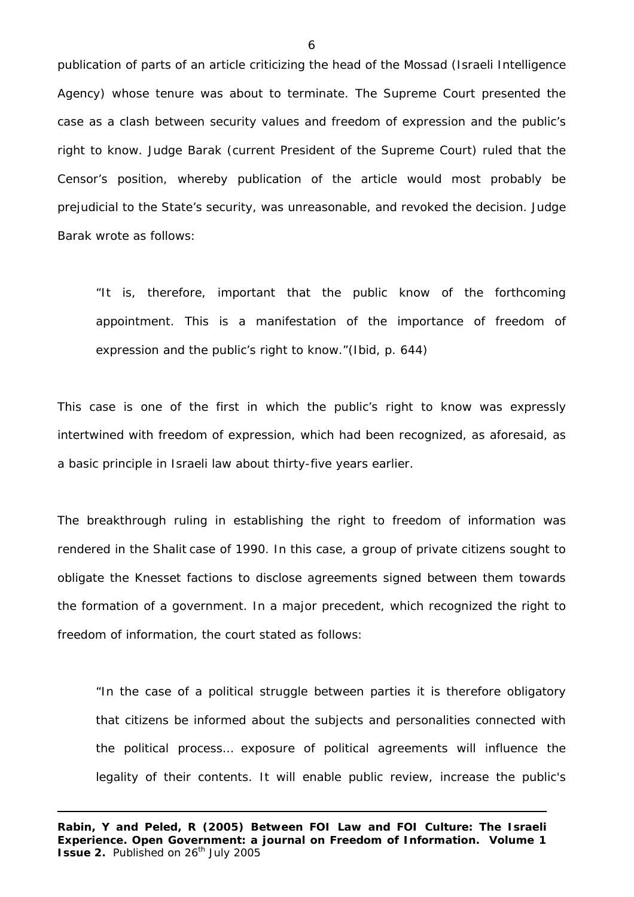publication of parts of an article criticizing the head of the Mossad (Israeli Intelligence Agency) whose tenure was about to terminate. The Supreme Court presented the case as a clash between security values and freedom of expression and the public's right to know. Judge Barak (current President of the Supreme Court) ruled that the Censor's position, whereby publication of the article would most probably be prejudicial to the State's security, was unreasonable, and revoked the decision. Judge Barak wrote as follows:

"It is, therefore, important that the public know of the forthcoming appointment. This is a manifestation of the importance of freedom of expression and the public's right to know."(*Ibid*, p. 644)

This case is one of the first in which the public's right to know was expressly intertwined with freedom of expression, which had been recognized, as aforesaid, as a basic principle in Israeli law about thirty-five years earlier.

The breakthrough ruling in establishing the right to freedom of information was rendered in the Shalit case of 1990. In this case, a group of private citizens sought to obligate the Knesset factions to disclose agreements signed between them towards the formation of a government. In a major precedent, which recognized the right to freedom of information, the court stated as follows:

"In the case of a political struggle between parties it is therefore obligatory that citizens be informed about the subjects and personalities connected with the political process… exposure of political agreements will influence the legality of their contents. It will enable public review, increase the public's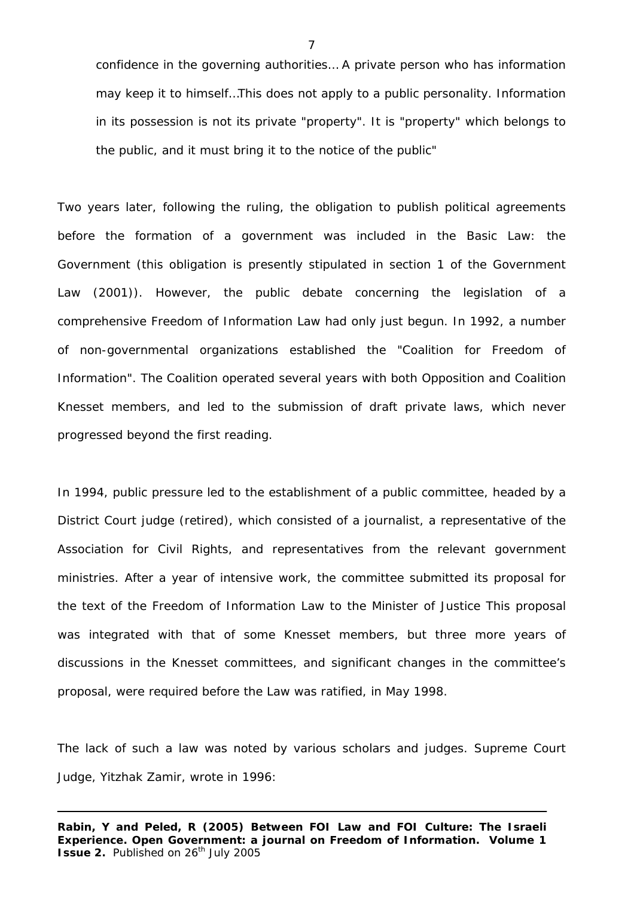confidence in the governing authorities… A private person who has information may keep it to himself…This does not apply to a public personality. Information in its possession is not its private "property". It is "property" which belongs to the public, and it must bring it to the notice of the public"

Two years later, following the ruling, the obligation to publish political agreements before the formation of a government was included in the Basic Law: the Government (this obligation is presently stipulated in section 1 of the Government Law (2001)). However, the public debate concerning the legislation of a comprehensive Freedom of Information Law had only just begun. In 1992, a number of non-governmental organizations established the "Coalition for Freedom of Information". The Coalition operated several years with both Opposition and Coalition Knesset members, and led to the submission of draft private laws, which never progressed beyond the first reading.

In 1994, public pressure led to the establishment of a public committee, headed by a District Court judge (retired), which consisted of a journalist, a representative of the Association for Civil Rights, and representatives from the relevant government ministries. After a year of intensive work, the committee submitted its proposal for the text of the Freedom of Information Law to the Minister of Justice This proposal was integrated with that of some Knesset members, but three more years of discussions in the Knesset committees, and significant changes in the committee's proposal, were required before the Law was ratified, in May 1998.

The lack of such a law was noted by various scholars and judges. Supreme Court Judge, Yitzhak Zamir, wrote in 1996:

**Rabin, Y and Peled, R (2005) Between FOI Law and FOI Culture: The Israeli Experience. Open Government: a journal on Freedom of Information. Volume 1 Issue 2.** Published on 26<sup>th</sup> July 2005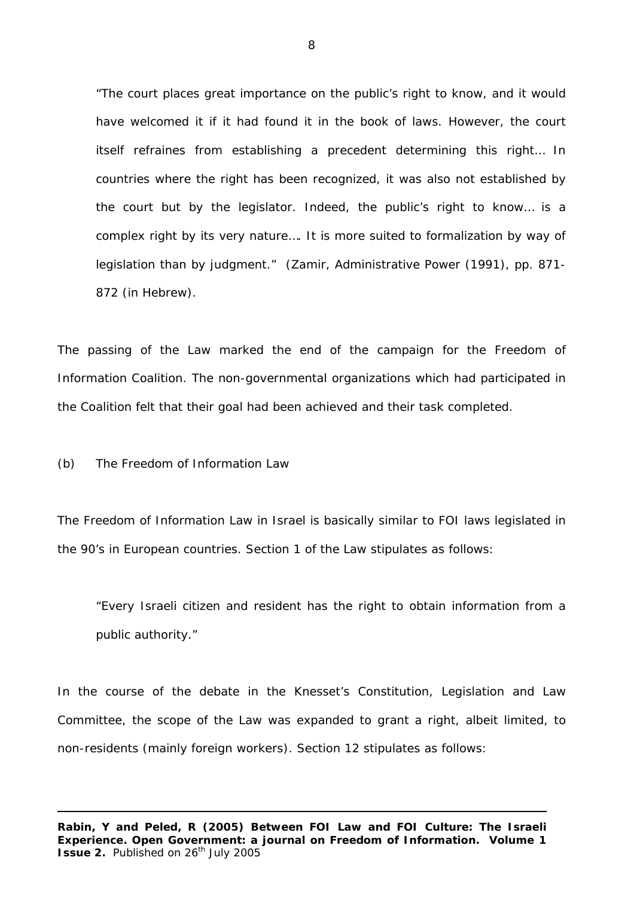"The court places great importance on the public's right to know, and it would have welcomed it if it had found it in the book of laws. However, the court itself refraines from establishing a precedent determining this right… In countries where the right has been recognized, it was also not established by the court but by the legislator. Indeed, the public's right to know… is a complex right by its very nature…. It is more suited to formalization by way of legislation than by judgment." (Zamir, *Administrative Power* (1991), pp. 871- 872 (in Hebrew).

The passing of the Law marked the end of the campaign for the Freedom of Information Coalition. The non-governmental organizations which had participated in the Coalition felt that their goal had been achieved and their task completed.

(b) The Freedom of Information Law

The Freedom of Information Law in Israel is basically similar to FOI laws legislated in the 90's in European countries. Section 1 of the Law stipulates as follows:

"Every Israeli citizen and resident has the right to obtain information from a public authority."

In the course of the debate in the Knesset's Constitution, Legislation and Law Committee, the scope of the Law was expanded to grant a right, albeit limited, to non-residents (mainly foreign workers). Section 12 stipulates as follows: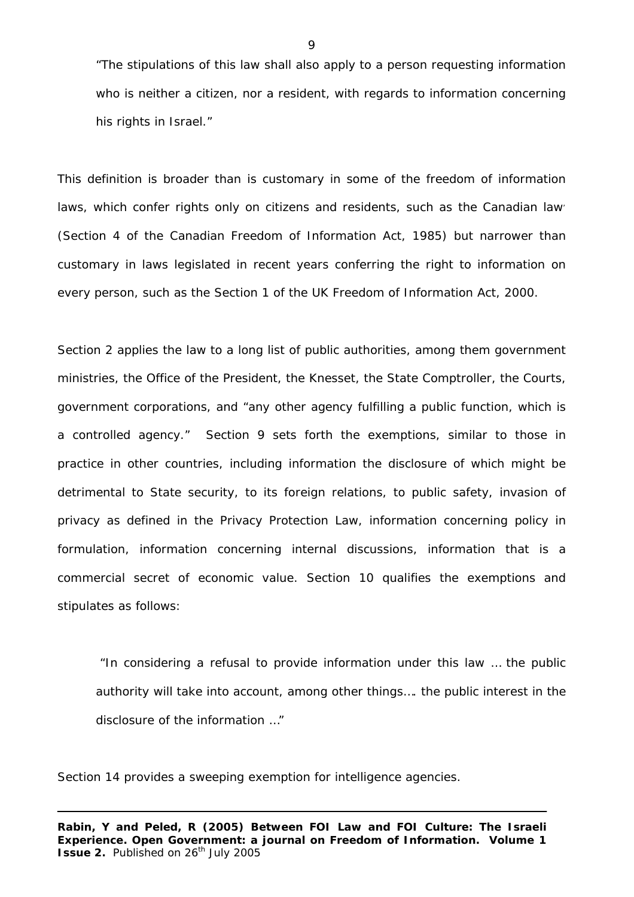"The stipulations of this law shall also apply to a person requesting information who is neither a citizen, nor a resident, with regards to information concerning his rights in Israel."

This definition is broader than is customary in some of the freedom of information laws, which confer rights only on citizens and residents, such as the Canadian law (Section 4 of the Canadian Freedom of Information Act, 1985) but narrower than customary in laws legislated in recent years conferring the right to information on every person, such as the Section 1 of the UK Freedom of Information Act, 2000.

Section 2 applies the law to a long list of public authorities, among them government ministries, the Office of the President, the Knesset, the State Comptroller, the Courts, government corporations, and "any other agency fulfilling a public function, which is a controlled agency." Section 9 sets forth the exemptions, similar to those in practice in other countries, including information the disclosure of which might be detrimental to State security, to its foreign relations, to public safety, invasion of privacy as defined in the Privacy Protection Law, information concerning policy in formulation, information concerning internal discussions, information that is a commercial secret of economic value. Section 10 qualifies the exemptions and stipulates as follows:

 "In considering a refusal to provide information under this law … the public authority will take into account, among other things…. the public interest in the disclosure of the information …"

Section 14 provides a sweeping exemption for intelligence agencies.

 $\overline{Q}$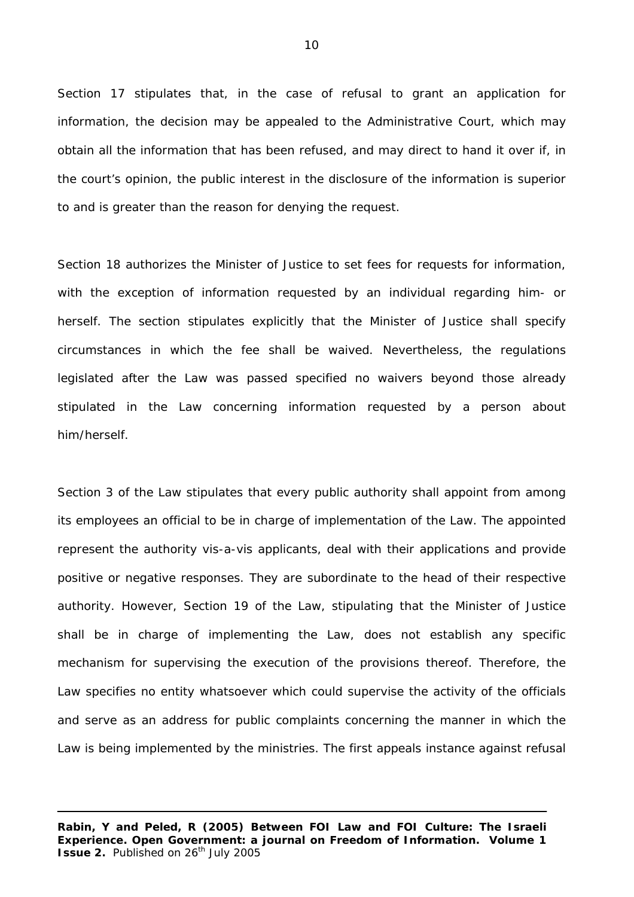Section 17 stipulates that, in the case of refusal to grant an application for information, the decision may be appealed to the Administrative Court, which may obtain all the information that has been refused, and may direct to hand it over if, in the court's opinion, the public interest in the disclosure of the information is superior to and is greater than the reason for denying the request.

Section 18 authorizes the Minister of Justice to set fees for requests for information, with the exception of information requested by an individual regarding him- or herself. The section stipulates explicitly that the Minister of Justice shall specify circumstances in which the fee shall be waived. Nevertheless, the regulations legislated after the Law was passed specified no waivers beyond those already stipulated in the Law concerning information requested by a person about him/herself.

Section 3 of the Law stipulates that every public authority shall appoint from among its employees an official to be in charge of implementation of the Law. The appointed represent the authority vis-a-vis applicants, deal with their applications and provide positive or negative responses. They are subordinate to the head of their respective authority. However, Section 19 of the Law, stipulating that the Minister of Justice shall be in charge of implementing the Law, does not establish any specific mechanism for supervising the execution of the provisions thereof. Therefore, the Law specifies no entity whatsoever which could supervise the activity of the officials and serve as an address for public complaints concerning the manner in which the Law is being implemented by the ministries. The first appeals instance against refusal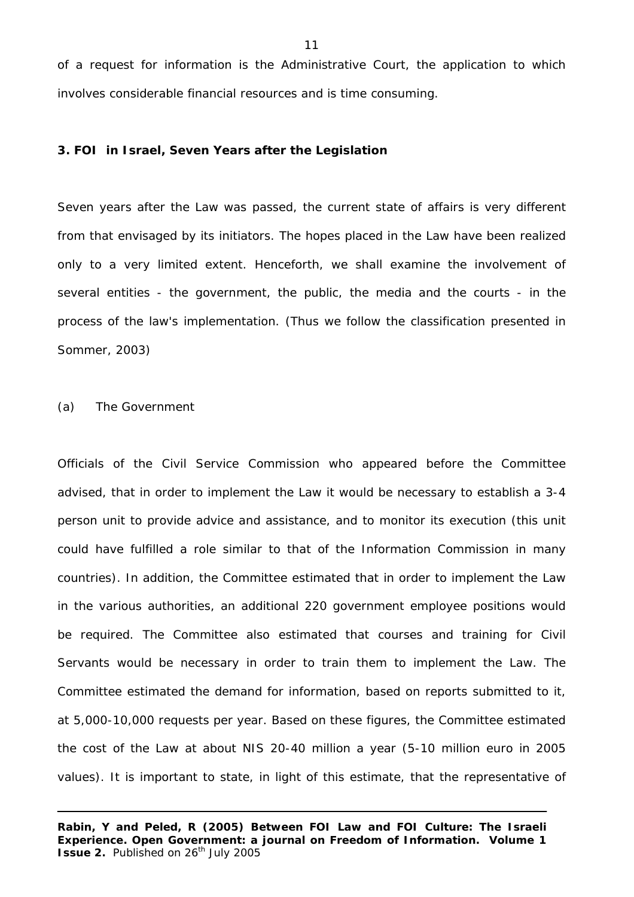of a request for information is the Administrative Court, the application to which involves considerable financial resources and is time consuming.

### **3. FOI in Israel, Seven Years after the Legislation**

Seven years after the Law was passed, the current state of affairs is very different from that envisaged by its initiators. The hopes placed in the Law have been realized only to a very limited extent. Henceforth, we shall examine the involvement of several entities - the government, the public, the media and the courts - in the process of the law's implementation. (Thus we follow the classification presented in Sommer, 2003)

(a) The Government

Officials of the Civil Service Commission who appeared before the Committee advised, that in order to implement the Law it would be necessary to establish a 3-4 person unit to provide advice and assistance, and to monitor its execution (this unit could have fulfilled a role similar to that of the Information Commission in many countries). In addition, the Committee estimated that in order to implement the Law in the various authorities, an additional 220 government employee positions would be required. The Committee also estimated that courses and training for Civil Servants would be necessary in order to train them to implement the Law. The Committee estimated the demand for information, based on reports submitted to it, at 5,000-10,000 requests per year. Based on these figures, the Committee estimated the cost of the Law at about NIS 20-40 million a year (5-10 million euro in 2005 values). It is important to state, in light of this estimate, that the representative of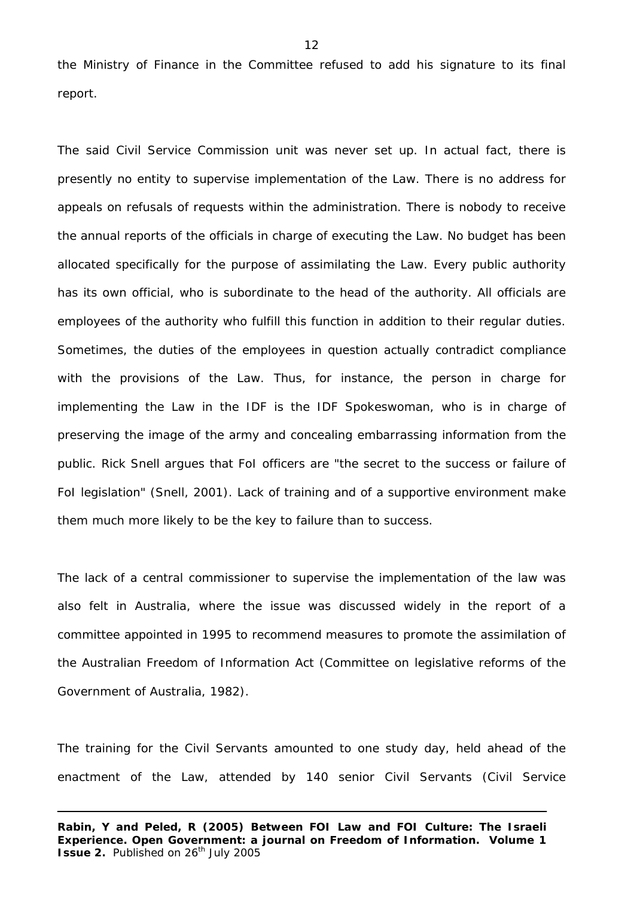the Ministry of Finance in the Committee refused to add his signature to its final report.

The said Civil Service Commission unit was never set up. In actual fact, there is presently no entity to supervise implementation of the Law. There is no address for appeals on refusals of requests within the administration. There is nobody to receive the annual reports of the officials in charge of executing the Law. No budget has been allocated specifically for the purpose of assimilating the Law. Every public authority has its own official, who is subordinate to the head of the authority. All officials are employees of the authority who fulfill this function in addition to their regular duties. Sometimes, the duties of the employees in question actually contradict compliance with the provisions of the Law. Thus, for instance, the person in charge for implementing the Law in the IDF is the IDF Spokeswoman, who is in charge of preserving the image of the army and concealing embarrassing information from the public. Rick Snell argues that FoI officers are "the secret to the success or failure of FoI legislation" (Snell, 2001). Lack of training and of a supportive environment make them much more likely to be the key to failure than to success.

The lack of a central commissioner to supervise the implementation of the law was also felt in Australia, where the issue was discussed widely in the report of a committee appointed in 1995 to recommend measures to promote the assimilation of the Australian Freedom of Information Act (Committee on legislative reforms of the Government of Australia, 1982).

The training for the Civil Servants amounted to one study day, held ahead of the enactment of the Law, attended by 140 senior Civil Servants (Civil Service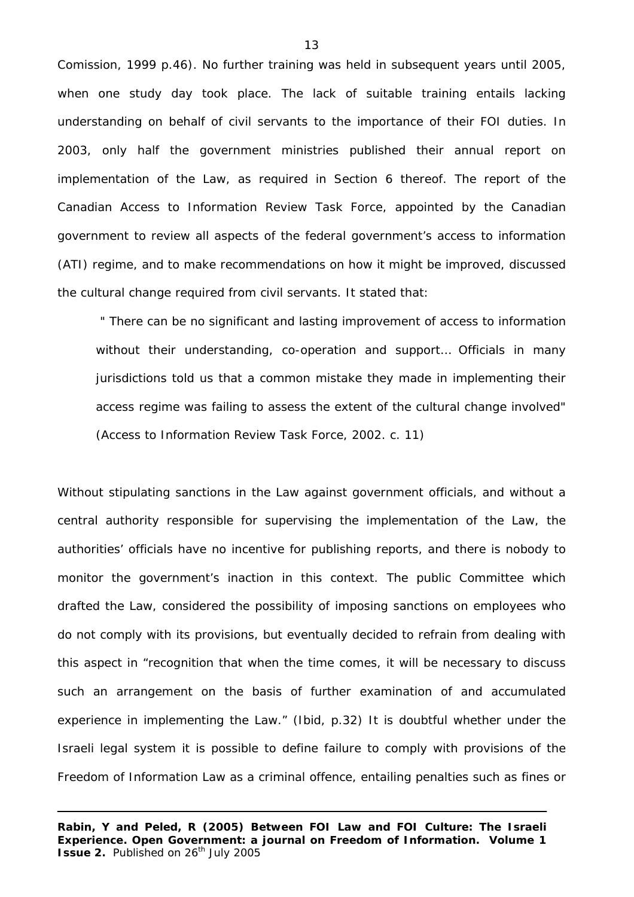Comission, 1999 p.46). No further training was held in subsequent years until 2005, when one study day took place. The lack of suitable training entails lacking understanding on behalf of civil servants to the importance of their FOI duties. In 2003, only half the government ministries published their annual report on implementation of the Law, as required in Section 6 thereof. The report of the Canadian Access to Information Review Task Force, appointed by the Canadian government to review all aspects of the federal government's access to information (ATI) regime, and to make recommendations on how it might be improved, discussed the cultural change required from civil servants. It stated that:

" There can be no significant and lasting improvement of access to information without their understanding, co-operation and support… Officials in many jurisdictions told us that a common mistake they made in implementing their access regime was failing to assess the extent of the cultural change involved" (Access to Information Review Task Force, 2002. c. 11)

Without stipulating sanctions in the Law against government officials, and without a central authority responsible for supervising the implementation of the Law, the authorities' officials have no incentive for publishing reports, and there is nobody to monitor the government's inaction in this context. The public Committee which drafted the Law, considered the possibility of imposing sanctions on employees who do not comply with its provisions, but eventually decided to refrain from dealing with this aspect in "recognition that when the time comes, it will be necessary to discuss such an arrangement on the basis of further examination of and accumulated experience in implementing the Law." (*Ibid,* p.32) It is doubtful whether under the Israeli legal system it is possible to define failure to comply with provisions of the Freedom of Information Law as a criminal offence, entailing penalties such as fines or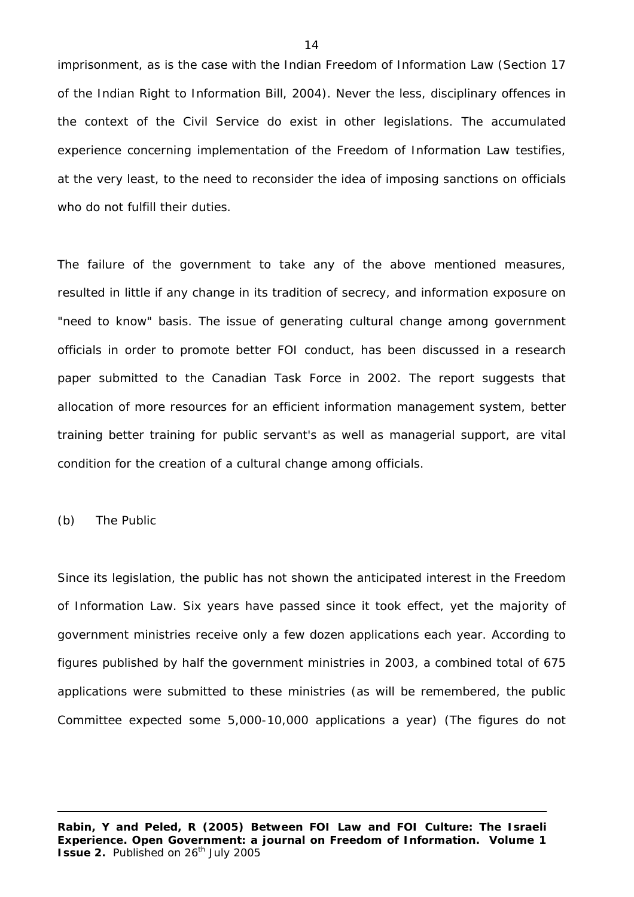imprisonment, as is the case with the Indian Freedom of Information Law (Section 17 of the Indian Right to Information Bill, 2004). Never the less, disciplinary offences in the context of the Civil Service do exist in other legislations. The accumulated experience concerning implementation of the Freedom of Information Law testifies, at the very least, to the need to reconsider the idea of imposing sanctions on officials who do not fulfill their duties.

The failure of the government to take any of the above mentioned measures, resulted in little if any change in its tradition of secrecy, and information exposure on "need to know" basis. The issue of generating cultural change among government officials in order to promote better FOI conduct, has been discussed in a research paper submitted to the Canadian Task Force in 2002. The report suggests that allocation of more resources for an efficient information management system, better training better training for public servant's as well as managerial support, are vital condition for the creation of a cultural change among officials.

(b) The Public

Since its legislation, the public has not shown the anticipated interest in the Freedom of Information Law. Six years have passed since it took effect, yet the majority of government ministries receive only a few dozen applications each year. According to figures published by half the government ministries in 2003, a combined total of 675 applications were submitted to these ministries (as will be remembered, the public Committee expected some 5,000-10,000 applications a year) (The figures do not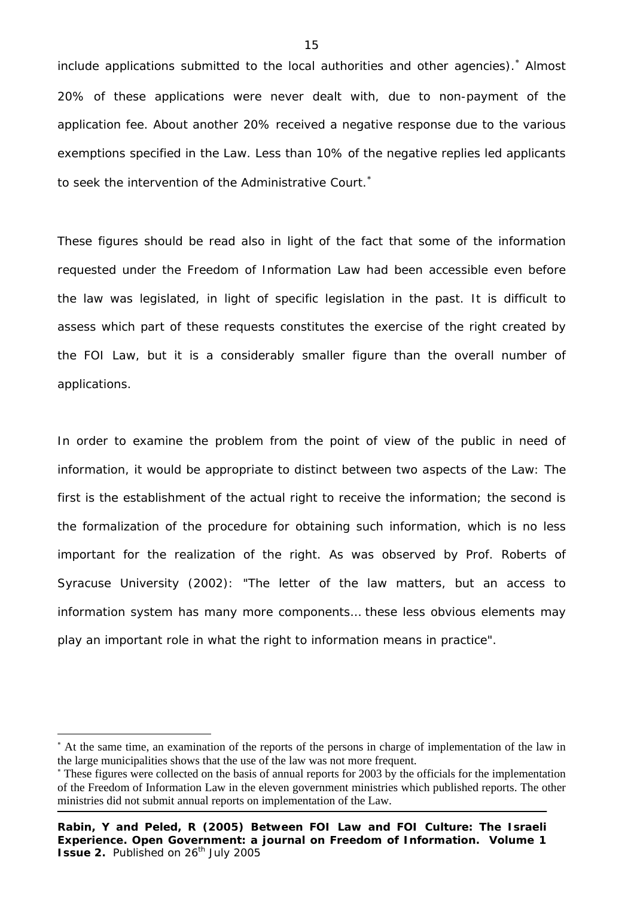includeapplications submitted to the local authorities and other agencies).<sup>\*</sup> Almost 20% of these applications were never dealt with, due to non-payment of the application fee. About another 20% received a negative response due to the various exemptions specified in the Law. Less than 10% of the negative replies led applicants to seek the intervention of the Administrative Court.<sup>∗</sup>

These figures should be read also in light of the fact that some of the information requested under the Freedom of Information Law had been accessible even before the law was legislated, in light of specific legislation in the past. It is difficult to assess which part of these requests constitutes the exercise of the right created by the FOI Law, but it is a considerably smaller figure than the overall number of applications.

In order to examine the problem from the point of view of the public in need of information, it would be appropriate to distinct between two aspects of the Law: The first is the establishment of the actual right to receive the information; the second is the formalization of the procedure for obtaining such information, which is no less important for the realization of the right. As was observed by Prof. Roberts of Syracuse University (2002): "The letter of the law matters, but an access to information *system* has many more components… these less obvious elements may play an important role in what the right to information means in practice".

j

<span id="page-14-0"></span><sup>∗</sup> At the same time, an examination of the reports of the persons in charge of implementation of the law in the large municipalities shows that the use of the law was not more frequent.

<sup>∗</sup> These figures were collected on the basis of annual reports for 2003 by the officials for the implementation of the Freedom of Information Law in the eleven government ministries which published reports. The other ministries did not submit annual reports on implementation of the Law.

**Rabin, Y and Peled, R (2005) Between FOI Law and FOI Culture: The Israeli Experience. Open Government: a journal on Freedom of Information. Volume 1 Issue 2.** Published on 26<sup>th</sup> July 2005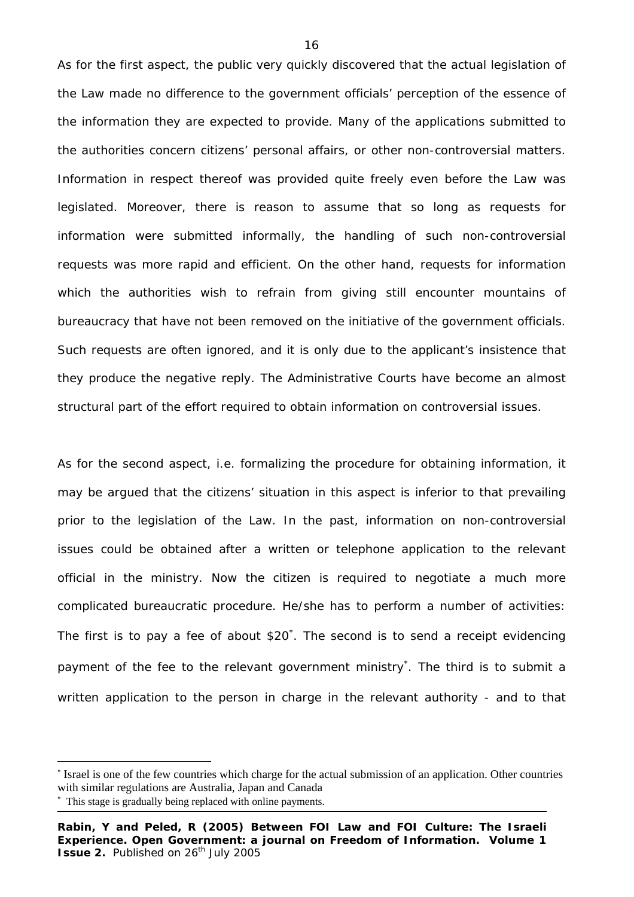As for the first aspect, the public very quickly discovered that the actual legislation of the Law made no difference to the government officials' perception of the essence of the information they are expected to provide. Many of the applications submitted to the authorities concern citizens' personal affairs, or other non-controversial matters. Information in respect thereof was provided quite freely even before the Law was legislated. Moreover, there is reason to assume that so long as requests for information were submitted informally, the handling of such non-controversial requests was more rapid and efficient. On the other hand, requests for information which the authorities wish to refrain from giving still encounter mountains of bureaucracy that have not been removed on the initiative of the government officials. Such requests are often ignored, and it is only due to the applicant's insistence that they produce the negative reply. The Administrative Courts have become an almost structural part of the effort required to obtain information on controversial issues.

As for the second aspect, i.e. formalizing the procedure for obtaining information, it may be argued that the citizens' situation in this aspect is inferior to that prevailing prior to the legislation of the Law. In the past, information on non-controversial issues could be obtained after a written or telephone application to the relevant official in the ministry. Now the citizen is required to negotiate a much more complicated bureaucratic procedure. He/she has to perform a number of activities: The first is to pay a fee of about \$20<sup>\*</sup>[.](#page-15-0) The second is to send a receipt evidencing payment of the fee to the relevant government ministry<sup>\*</sup>[.](#page-15-1) The third is to submit a written application to the person in charge in the relevant authority - and to that

-

<span id="page-15-0"></span><sup>∗</sup> Israel is one of the few countries which charge for the actual submission of an application. Other countries with similar regulations are Australia, Japan and Canada ∗

<span id="page-15-1"></span>This stage is gradually being replaced with online payments.

**Rabin, Y and Peled, R (2005) Between FOI Law and FOI Culture: The Israeli Experience. Open Government: a journal on Freedom of Information. Volume 1 Issue 2.** Published on 26<sup>th</sup> July 2005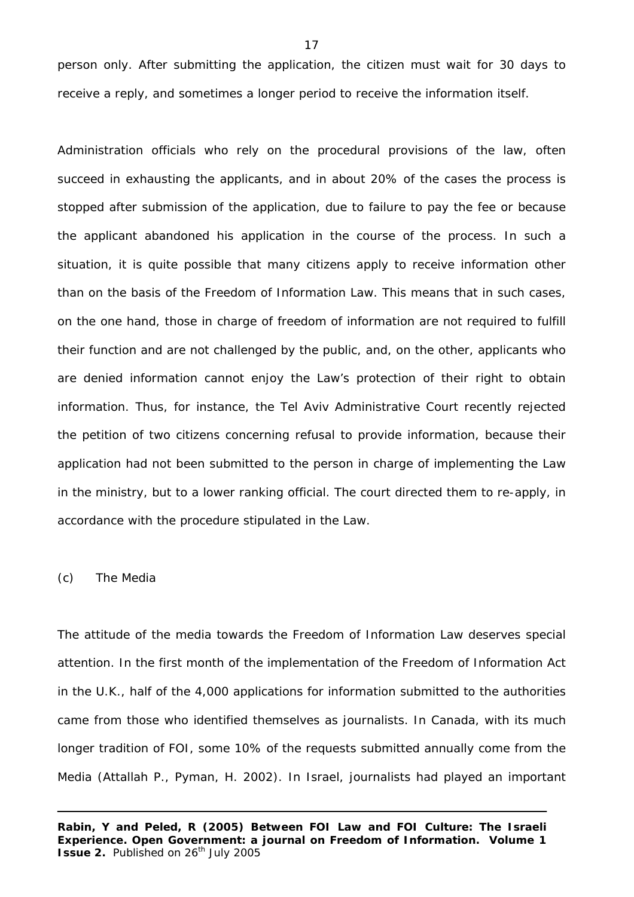person only. After submitting the application, the citizen must wait for 30 days to receive a reply, and sometimes a longer period to receive the information itself.

Administration officials who rely on the procedural provisions of the law, often succeed in exhausting the applicants, and in about 20% of the cases the process is stopped after submission of the application, due to failure to pay the fee or because the applicant abandoned his application in the course of the process. In such a situation, it is quite possible that many citizens apply to receive information other than on the basis of the Freedom of Information Law. This means that in such cases, on the one hand, those in charge of freedom of information are not required to fulfill their function and are not challenged by the public, and, on the other, applicants who are denied information cannot enjoy the Law's protection of their right to obtain information. Thus, for instance, the Tel Aviv Administrative Court recently rejected the petition of two citizens concerning refusal to provide information, because their application had not been submitted to the person in charge of implementing the Law in the ministry, but to a lower ranking official. The court directed them to re-apply, in accordance with the procedure stipulated in the Law.

# (c) The Media

The attitude of the media towards the Freedom of Information Law deserves special attention. In the first month of the implementation of the Freedom of Information Act in the U.K., half of the 4,000 applications for information submitted to the authorities came from those who identified themselves as journalists. In Canada, with its much longer tradition of FOI, some 10% of the requests submitted annually come from the Media (Attallah P., Pyman, H. 2002). In Israel, journalists had played an important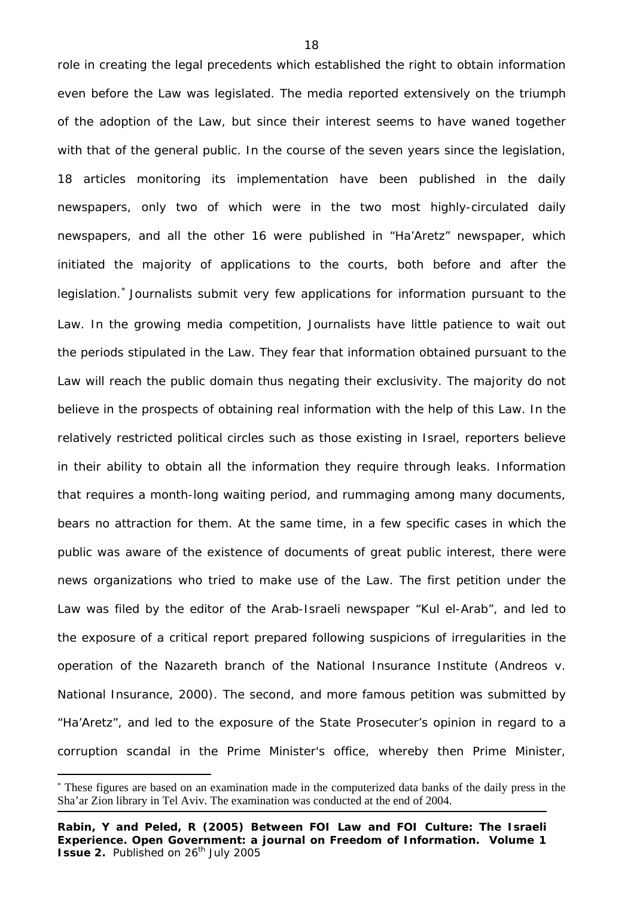role in creating the legal precedents which established the right to obtain information even before the Law was legislated. The media reported extensively on the triumph of the adoption of the Law, but since their interest seems to have waned together with that of the general public. In the course of the seven years since the legislation, 18 articles monitoring its implementation have been published in the daily newspapers, only two of which were in the two most highly-circulated daily newspapers, and all the other 16 were published in "Ha'Aretz" newspaper, which initiated the majority of applications to the courts, both before and after the legislation.<sup>∗</sup> Journalists submit very few applications for information pursuant to the Law. In the growing media competition, Journalists have little patience to wait out the periods stipulated in the Law. They fear that information obtained pursuant to the Law will reach the public domain thus negating their exclusivity. The majority do not believe in the prospects of obtaining real information with the help of this Law. In the relatively restricted political circles such as those existing in Israel, reporters believe in their ability to obtain all the information they require through leaks. Information that requires a month-long waiting period, and rummaging among many documents, bears no attraction for them. At the same time, in a few specific cases in which the public was aware of the existence of documents of great public interest, there were news organizations who tried to make use of the Law. The first petition under the Law was filed by the editor of the Arab-Israeli newspaper "Kul el-Arab", and led to the exposure of a critical report prepared following suspicions of irregularities in the operation of the Nazareth branch of the National Insurance Institute (Andreos v. National Insurance, 2000). The second, and more famous petition was submitted by "Ha'Aretz", and led to the exposure of the State Prosecuter's opinion in regard to a corruption scandal in the Prime Minister's office, whereby then Prime Minister,

j

<sup>∗</sup> These figures are based on an examination made in the computerized data banks of the daily press in the Sha'ar Zion library in Tel Aviv. The examination was conducted at the end of 2004.

**Rabin, Y and Peled, R (2005) Between FOI Law and FOI Culture: The Israeli Experience. Open Government: a journal on Freedom of Information. Volume 1 Issue 2.** Published on 26<sup>th</sup> July 2005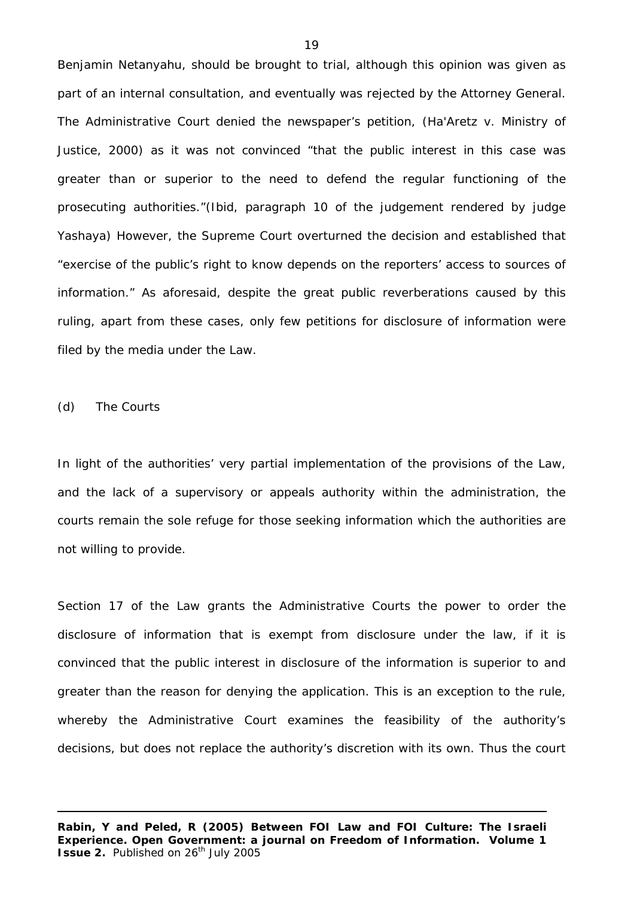Benjamin Netanyahu, should be brought to trial, although this opinion was given as part of an internal consultation, and eventually was rejected by the Attorney General. The Administrative Court denied the newspaper's petition, (Ha'Aretz v. Ministry of Justice, 2000) as it was not convinced "that the public interest in this case was greater than or superior to the need to defend the regular functioning of the prosecuting authorities."(*Ibid*, paragraph 10 of the judgement rendered by judge Yashaya) However, the Supreme Court overturned the decision and established that "exercise of the public's right to know depends on the reporters' access to sources of information." As aforesaid, despite the great public reverberations caused by this ruling, apart from these cases, only few petitions for disclosure of information were filed by the media under the Law.

(d) The Courts

In light of the authorities' very partial implementation of the provisions of the Law, and the lack of a supervisory or appeals authority within the administration, the courts remain the sole refuge for those seeking information which the authorities are not willing to provide.

Section 17 of the Law grants the Administrative Courts the power to order the disclosure of information that is exempt from disclosure under the law, if it is convinced that the public interest in disclosure of the information is superior to and greater than the reason for denying the application. This is an exception to the rule, whereby the Administrative Court examines the feasibility of the authority's decisions, but does not replace the authority's discretion with its own. Thus the court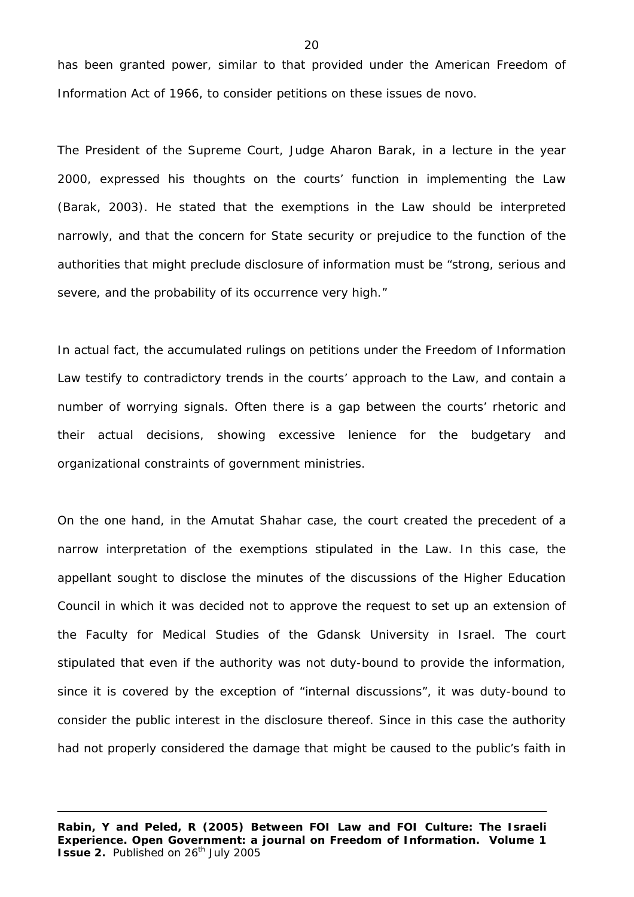has been granted power, similar to that provided under the American Freedom of Information Act of 1966, to consider petitions on these issues de novo.

The President of the Supreme Court, Judge Aharon Barak, in a lecture in the year 2000, expressed his thoughts on the courts' function in implementing the Law (Barak, 2003). He stated that the exemptions in the Law should be interpreted narrowly, and that the concern for State security or prejudice to the function of the authorities that might preclude disclosure of information must be "strong, serious and severe, and the probability of its occurrence very high."

In actual fact, the accumulated rulings on petitions under the Freedom of Information Law testify to contradictory trends in the courts' approach to the Law, and contain a number of worrying signals. Often there is a gap between the courts' rhetoric and their actual decisions, showing excessive lenience for the budgetary and organizational constraints of government ministries.

On the one hand, in the Amutat Shahar case, the court created the precedent of a narrow interpretation of the exemptions stipulated in the Law. In this case, the appellant sought to disclose the minutes of the discussions of the Higher Education Council in which it was decided not to approve the request to set up an extension of the Faculty for Medical Studies of the Gdansk University in Israel. The court stipulated that even if the authority was not duty-bound to provide the information, since it is covered by the exception of "internal discussions", it was duty-bound to consider the public interest in the disclosure thereof. Since in this case the authority had not properly considered the damage that might be caused to the public's faith in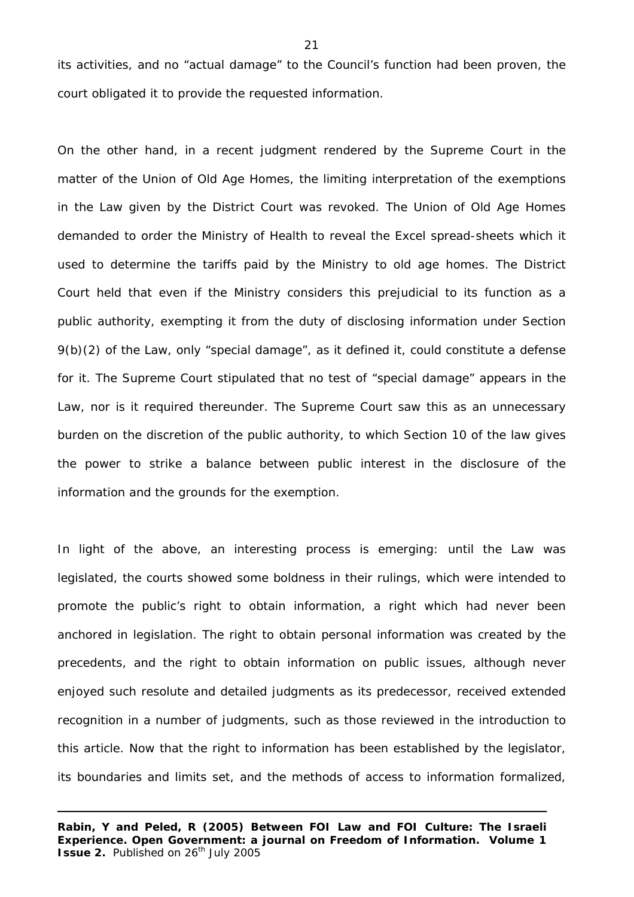its activities, and no "actual damage" to the Council's function had been proven, the court obligated it to provide the requested information.

On the other hand, in a recent judgment rendered by the Supreme Court in the matter of the Union of Old Age Homes, the limiting interpretation of the exemptions in the Law given by the District Court was revoked. The Union of Old Age Homes demanded to order the Ministry of Health to reveal the Excel spread-sheets which it used to determine the tariffs paid by the Ministry to old age homes. The District Court held that even if the Ministry considers this prejudicial to its function as a public authority, exempting it from the duty of disclosing information under Section 9(b)(2) of the Law, only "special damage", as it defined it, could constitute a defense for it. The Supreme Court stipulated that no test of "special damage" appears in the Law, nor is it required thereunder. The Supreme Court saw this as an unnecessary burden on the discretion of the public authority, to which Section 10 of the law gives the power to strike a balance between public interest in the disclosure of the information and the grounds for the exemption.

In light of the above, an interesting process is emerging: until the Law was legislated, the courts showed some boldness in their rulings, which were intended to promote the public's right to obtain information, a right which had never been anchored in legislation. The right to obtain personal information was created by the precedents, and the right to obtain information on public issues, although never enjoyed such resolute and detailed judgments as its predecessor, received extended recognition in a number of judgments, such as those reviewed in the introduction to this article. Now that the right to information has been established by the legislator, its boundaries and limits set, and the methods of access to information formalized,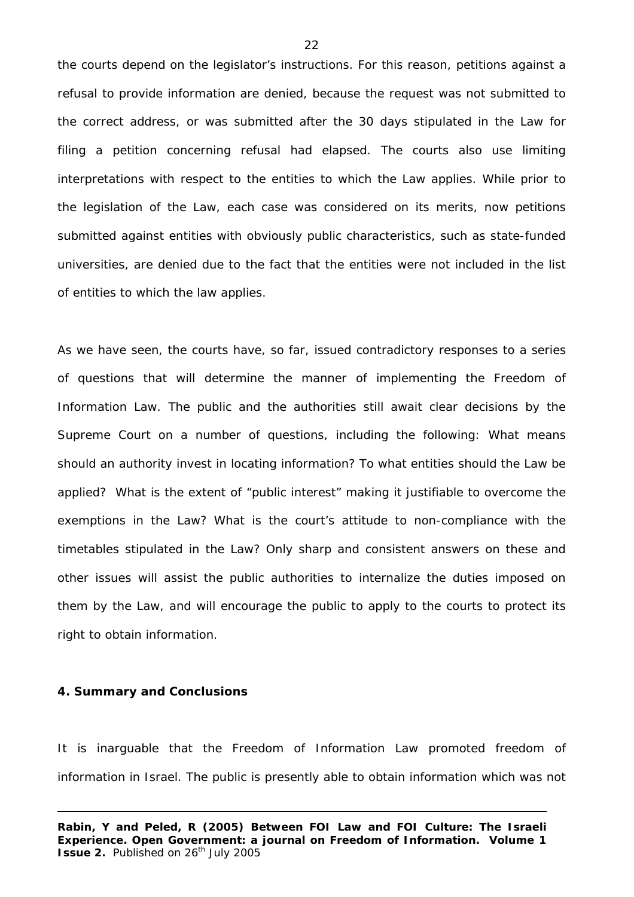the courts depend on the legislator's instructions. For this reason, petitions against a refusal to provide information are denied, because the request was not submitted to the correct address, or was submitted after the 30 days stipulated in the Law for filing a petition concerning refusal had elapsed. The courts also use limiting interpretations with respect to the entities to which the Law applies. While prior to the legislation of the Law, each case was considered on its merits, now petitions submitted against entities with obviously public characteristics, such as state-funded universities, are denied due to the fact that the entities were not included in the list of entities to which the law applies.

As we have seen, the courts have, so far, issued contradictory responses to a series of questions that will determine the manner of implementing the Freedom of Information Law. The public and the authorities still await clear decisions by the Supreme Court on a number of questions, including the following: What means should an authority invest in locating information? To what entities should the Law be applied? What is the extent of "public interest" making it justifiable to overcome the exemptions in the Law? What is the court's attitude to non-compliance with the timetables stipulated in the Law? Only sharp and consistent answers on these and other issues will assist the public authorities to internalize the duties imposed on them by the Law, and will encourage the public to apply to the courts to protect its right to obtain information.

#### **4. Summary and Conclusions**

It is inarguable that the Freedom of Information Law promoted freedom of information in Israel. The public is presently able to obtain information which was not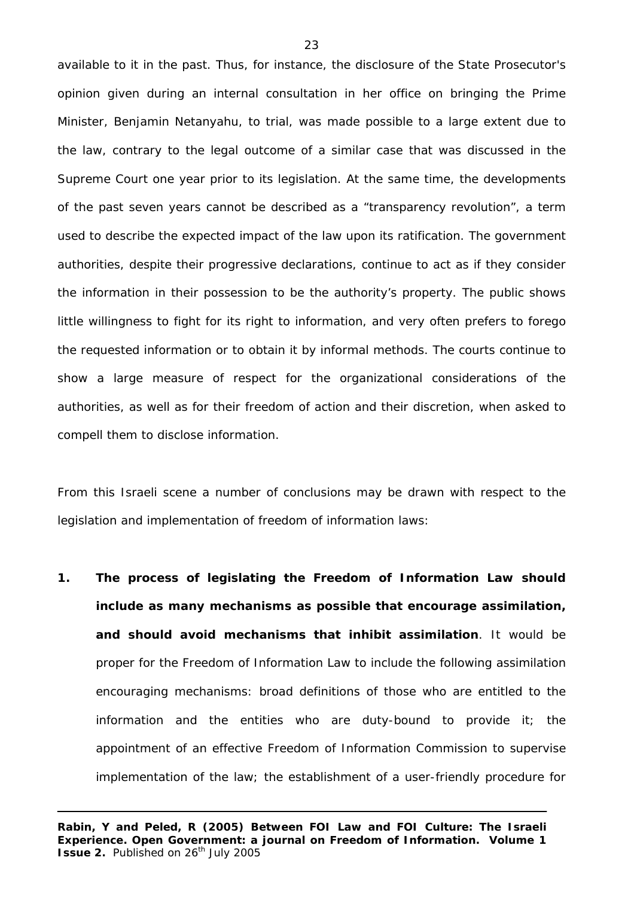available to it in the past. Thus, for instance, the disclosure of the State Prosecutor's opinion given during an internal consultation in her office on bringing the Prime Minister, Benjamin Netanyahu, to trial, was made possible to a large extent due to the law, contrary to the legal outcome of a similar case that was discussed in the Supreme Court one year prior to its legislation. At the same time, the developments of the past seven years cannot be described as a "transparency revolution", a term used to describe the expected impact of the law upon its ratification. The government authorities, despite their progressive declarations, continue to act as if they consider the information in their possession to be the authority's property. The public shows little willingness to fight for its right to information, and very often prefers to forego the requested information or to obtain it by informal methods. The courts continue to show a large measure of respect for the organizational considerations of the authorities, as well as for their freedom of action and their discretion, when asked to compell them to disclose information.

From this Israeli scene a number of conclusions may be drawn with respect to the legislation and implementation of freedom of information laws:

**1. The process of legislating the Freedom of Information Law should include as many mechanisms as possible that encourage assimilation, and should avoid mechanisms that inhibit assimilation**. It would be proper for the Freedom of Information Law to include the following assimilation encouraging mechanisms: broad definitions of those who are entitled to the information and the entities who are duty-bound to provide it; the appointment of an effective Freedom of Information Commission to supervise implementation of the law; the establishment of a user-friendly procedure for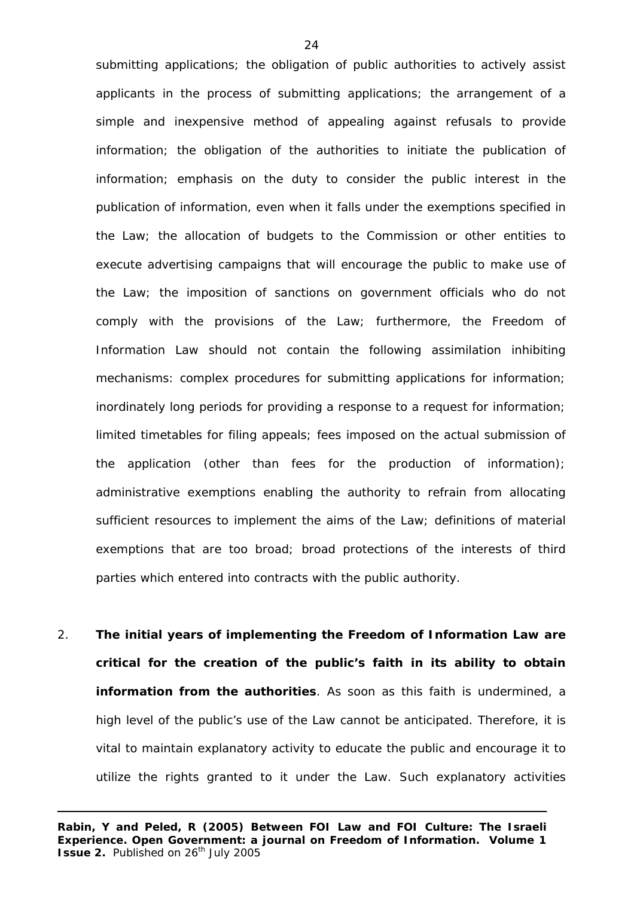submitting applications; the obligation of public authorities to actively assist applicants in the process of submitting applications; the arrangement of a simple and inexpensive method of appealing against refusals to provide information; the obligation of the authorities to initiate the publication of information; emphasis on the duty to consider the public interest in the publication of information, even when it falls under the exemptions specified in the Law; the allocation of budgets to the Commission or other entities to execute advertising campaigns that will encourage the public to make use of the Law; the imposition of sanctions on government officials who do not comply with the provisions of the Law; furthermore, the Freedom of Information Law should not contain the following assimilation inhibiting mechanisms: complex procedures for submitting applications for information; inordinately long periods for providing a response to a request for information; limited timetables for filing appeals; fees imposed on the actual submission of the application (other than fees for the production of information); administrative exemptions enabling the authority to refrain from allocating sufficient resources to implement the aims of the Law; definitions of material exemptions that are too broad; broad protections of the interests of third parties which entered into contracts with the public authority.

2. **The initial years of implementing the Freedom of Information Law are critical for the creation of the public's faith in its ability to obtain information from the authorities**. As soon as this faith is undermined, a high level of the public's use of the Law cannot be anticipated. Therefore, it is vital to maintain explanatory activity to educate the public and encourage it to utilize the rights granted to it under the Law. Such explanatory activities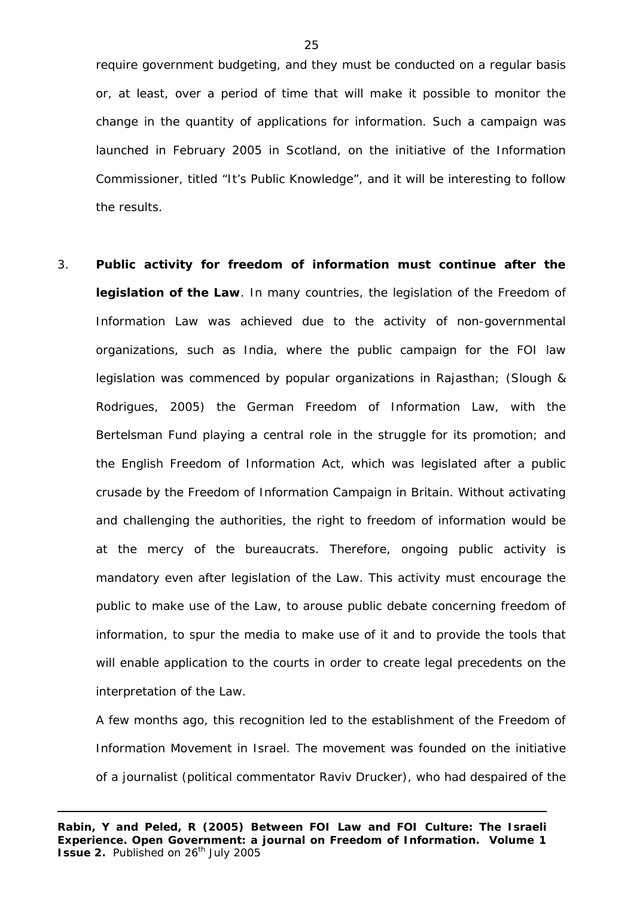require government budgeting, and they must be conducted on a regular basis or, at least, over a period of time that will make it possible to monitor the change in the quantity of applications for information. Such a campaign was launched in February 2005 in Scotland, on the initiative of the Information Commissioner, titled "It's Public Knowledge", and it will be interesting to follow the results.

3. **Public activity for freedom of information must continue after the legislation of the Law**. In many countries, the legislation of the Freedom of Information Law was achieved due to the activity of non-governmental organizations, such as India, where the public campaign for the FOI law legislation was commenced by popular organizations in Rajasthan; (Slough & Rodrigues, 2005) the German Freedom of Information Law, with the Bertelsman Fund playing a central role in the struggle for its promotion; and the English Freedom of Information Act, which was legislated after a public crusade by the Freedom of Information Campaign in Britain. Without activating and challenging the authorities, the right to freedom of information would be at the mercy of the bureaucrats. Therefore, ongoing public activity is mandatory even after legislation of the Law. This activity must encourage the public to make use of the Law, to arouse public debate concerning freedom of information, to spur the media to make use of it and to provide the tools that will enable application to the courts in order to create legal precedents on the interpretation of the Law.

A few months ago, this recognition led to the establishment of the Freedom of Information Movement in Israel. The movement was founded on the initiative of a journalist (political commentator Raviv Drucker), who had despaired of the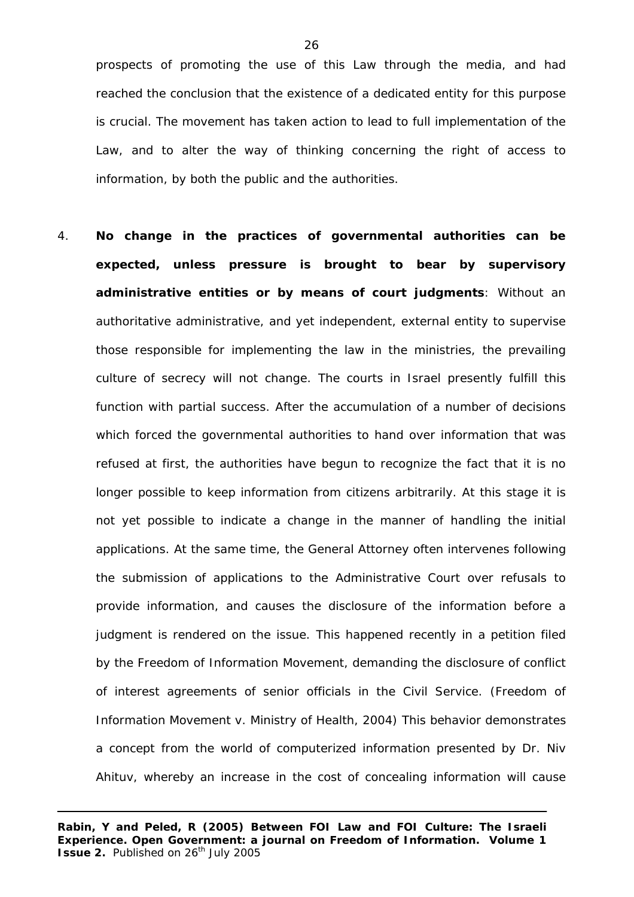prospects of promoting the use of this Law through the media, and had reached the conclusion that the existence of a dedicated entity for this purpose is crucial. The movement has taken action to lead to full implementation of the Law, and to alter the way of thinking concerning the right of access to information, by both the public and the authorities.

4. **No change in the practices of governmental authorities can be expected, unless pressure is brought to bear by supervisory administrative entities or by means of court judgments**: Without an authoritative administrative, and yet independent, external entity to supervise those responsible for implementing the law in the ministries, the prevailing culture of secrecy will not change. The courts in Israel presently fulfill this function with partial success. After the accumulation of a number of decisions which forced the governmental authorities to hand over information that was refused at first, the authorities have begun to recognize the fact that it is no longer possible to keep information from citizens arbitrarily. At this stage it is not yet possible to indicate a change in the manner of handling the initial applications. At the same time, the General Attorney often intervenes following the submission of applications to the Administrative Court over refusals to provide information, and causes the disclosure of the information before a judgment is rendered on the issue. This happened recently in a petition filed by the Freedom of Information Movement, demanding the disclosure of conflict of interest agreements of senior officials in the Civil Service. (Freedom of Information Movement v. Ministry of Health, 2004) This behavior demonstrates a concept from the world of computerized information presented by Dr. Niv Ahituv, whereby an increase in the cost of concealing information will cause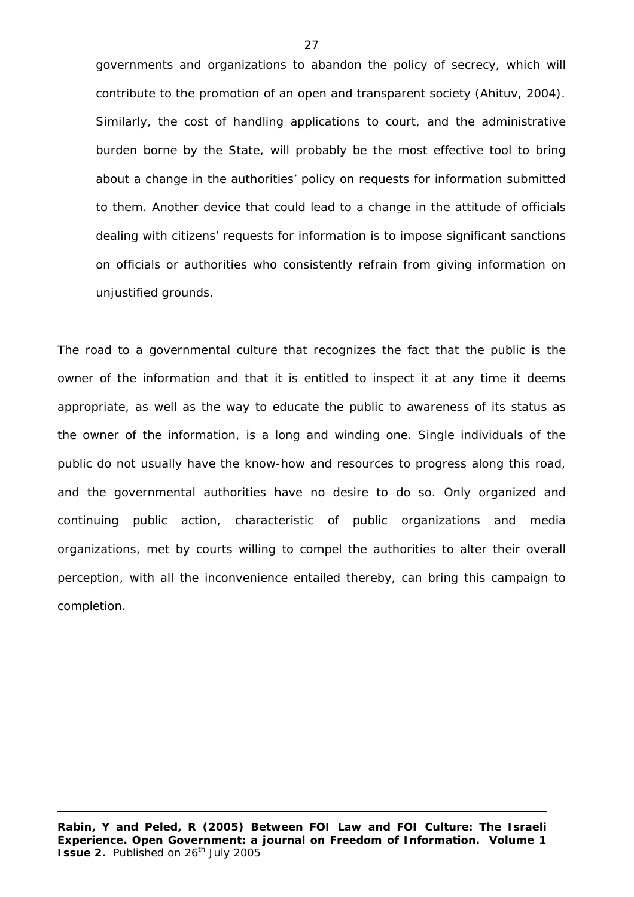governments and organizations to abandon the policy of secrecy, which will contribute to the promotion of an open and transparent society (Ahituv, 2004). Similarly, the cost of handling applications to court, and the administrative burden borne by the State, will probably be the most effective tool to bring about a change in the authorities' policy on requests for information submitted to them. Another device that could lead to a change in the attitude of officials dealing with citizens' requests for information is to impose significant sanctions on officials or authorities who consistently refrain from giving information on unjustified grounds.

The road to a governmental culture that recognizes the fact that the public is the owner of the information and that it is entitled to inspect it at any time it deems appropriate, as well as the way to educate the public to awareness of its status as the owner of the information, is a long and winding one. Single individuals of the public do not usually have the know-how and resources to progress along this road, and the governmental authorities have no desire to do so. Only organized and continuing public action, characteristic of public organizations and media organizations, met by courts willing to compel the authorities to alter their overall perception, with all the inconvenience entailed thereby, can bring this campaign to completion.

**Rabin, Y and Peled, R (2005) Between FOI Law and FOI Culture: The Israeli Experience. Open Government: a journal on Freedom of Information. Volume 1 Issue 2.** Published on 26<sup>th</sup> July 2005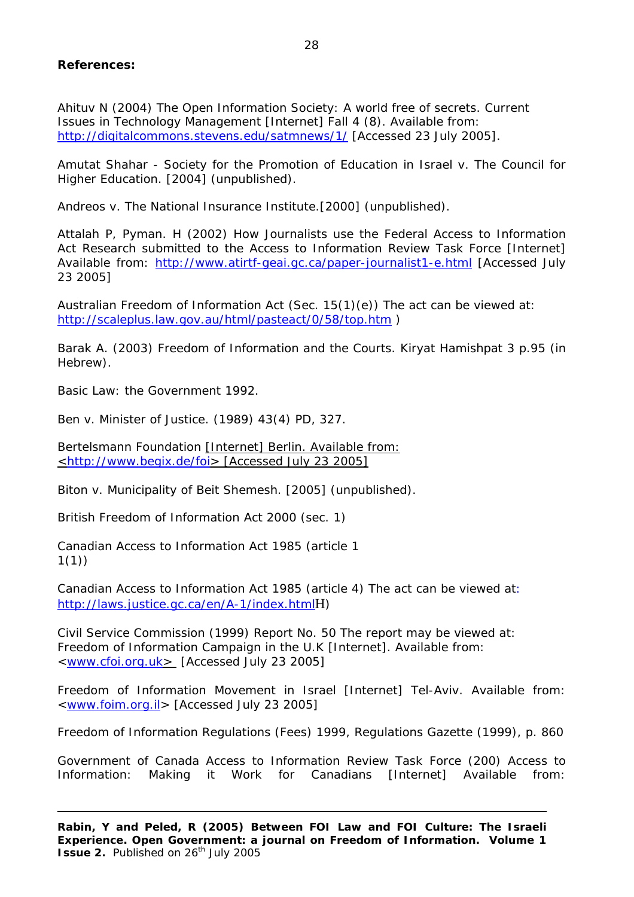# **References:**

Ahituv N (2004) The Open Information Society: A world free of secrets. Current Issues in Technology Management [Internet] Fall 4 (8). Available from: <http://digitalcommons.stevens.edu/satmnews/1/>[Accessed 23 July 2005].

Amutat Shahar - Society for the Promotion of Education in Israel v. The Council for Higher Education. [2004] (unpublished).

Andreos v. The National Insurance Institute*.*[2000] (unpublished).

Attalah P, Pyman. H (2002) How Journalists use the Federal Access to Information Act Research submitted to the Access to Information Review Task Force [Internet] Available from: <http://www.atirtf-geai.gc.ca/paper-journalist1-e.html>[Accessed July 23 2005]

Australian Freedom of Information Act (Sec. 15(1)(e)) The act can be viewed at: <http://scaleplus.law.gov.au/html/pasteact/0/58/top.htm> )

Barak A. (2003) Freedom of Information and the Courts. Kiryat Hamishpat 3 p.95 (in Hebrew).

Basic Law: the Government 1992.

Ben v. Minister of Justice*.* (1989) 43(4) PD, 327.

Bertelsmann Foundation [Internet] Berlin. Available from: <<http://www.begix.de/foi>> [Accessed July 23 2005]

Biton v. Municipality of Beit Shemesh. [2005] (unpublished).

British Freedom of Information Act 2000 (sec. 1)

Canadian Access to Information Act 1985 (article 1 1(1))

Canadian Access to Information Act 1985 (article 4) The act can be viewed at: <http://laws.justice.gc.ca/en/A-1/index.html>H)

Civil Service Commission (1999) Report No. 50 The report may be viewed at: Freedom of Information Campaign in the U.K [Internet]. Available from: <[www.cfoi.org.uk>](http://www.cfoi.org.uk/) [Accessed July 23 2005]

Freedom of Information Movement in Israel [Internet] Tel-Aviv. Available from: <[www.foim.org.il](http://www.foim.org.il/)> [Accessed July 23 2005]

Freedom of Information Regulations (Fees) 1999, Regulations Gazette (1999), p. 860

Government of Canada Access to Information Review Task Force (200) Access to Information: Making it Work for Canadians [Internet] Available from: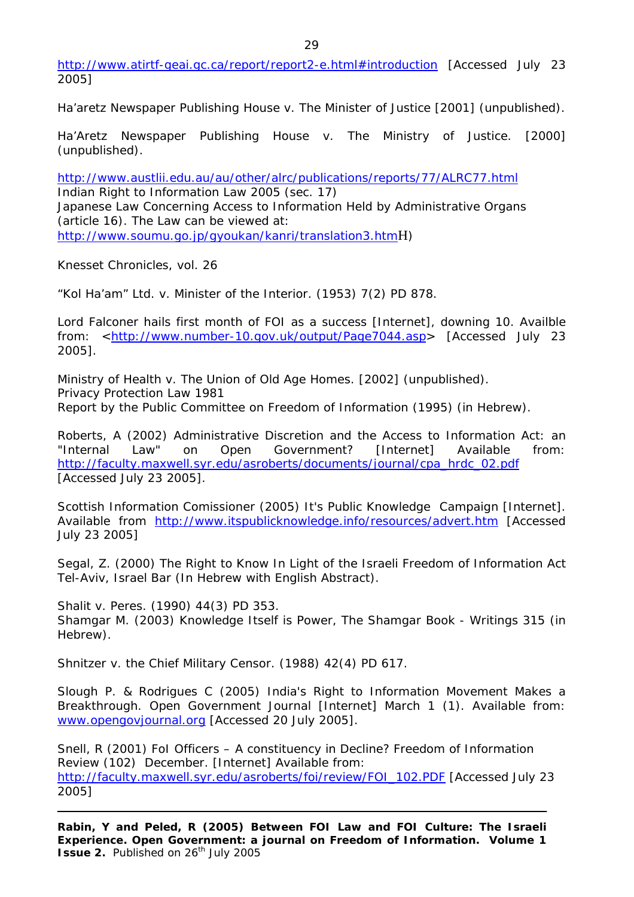http://www.atirtf-geai.gc.ca/report/report2-e.html#introduction [Accessed July 23 2005]

Ha'aretz Newspaper Publishing House v. The Minister of Justice [2001] (unpublished).

Ha'Aretz Newspaper Publishing House v. The Ministry of Justice. [2000] (unpublished).

<http://www.austlii.edu.au/au/other/alrc/publications/reports/77/ALRC77.html> Indian Right to Information Law 2005 (sec. 17) Japanese Law Concerning Access to Information Held by Administrative Organs (article 16). The Law can be viewed at: <http://www.soumu.go.jp/gyoukan/kanri/translation3.htm>H)

Knesset Chronicles, vol. 26

"Kol Ha'am" Ltd. v. Minister of the Interior. (1953) 7(2) PD 878.

Lord Falconer hails first month of FOI as a success [Internet], downing 10. Availble from: [<http://www.number-10.gov.uk/output/Page7044.asp>](http://www.number-10.gov.uk/output/Page7044.asp) [Accessed July 23 2005].

Ministry of Health v. The Union of Old Age Homes. [2002] (unpublished). Privacy Protection Law 1981 Report by the Public Committee on Freedom of Information (1995) (in Hebrew).

Roberts, A (2002) Administrative Discretion and the Access to Information Act: an "Internal Law" on Open Government? [Internet] Available from: [http://faculty.maxwell.syr.edu/asroberts/documents/journal/cpa\\_hrdc\\_02.pdf](http://faculty.maxwell.syr.edu/asroberts/documents/journal/cpa_hrdc_02.pdf) [Accessed July 23 2005].

Scottish Information Comissioner (2005) It's Public Knowledge Campaign [Internet]. Available from <http://www.itspublicknowledge.info/resources/advert.htm>[Accessed July 23 2005]

Segal, Z. (2000) The Right to Know In Light of the Israeli Freedom of Information Act Tel-Aviv, Israel Bar (In Hebrew with English Abstract).

Shalit v. Peres. (1990) 44(3) PD 353. Shamgar M. (2003) Knowledge Itself is Power, *The Shamgar Book - Writings* 315 (in Hebrew).

Shnitzer v. the Chief Military Censor. (1988) 42(4) PD 617.

Slough P. & Rodrigues C (2005) India's Right to Information Movement Makes a Breakthrough. Open Government Journal [Internet] March 1 (1). Available from: [www.opengovjournal.org](http://www.opengovjournal.org/) [Accessed 20 July 2005].

Snell, R (2001) FoI Officers – A constituency in Decline? Freedom of Information Review (102) December. [Internet] Available from: [http://faculty.maxwell.syr.edu/asroberts/foi/review/FOI\\_102.PDF](http://faculty.maxwell.syr.edu/asroberts/foi/review/FOI_102.PDF) [Accessed July 23 2005]